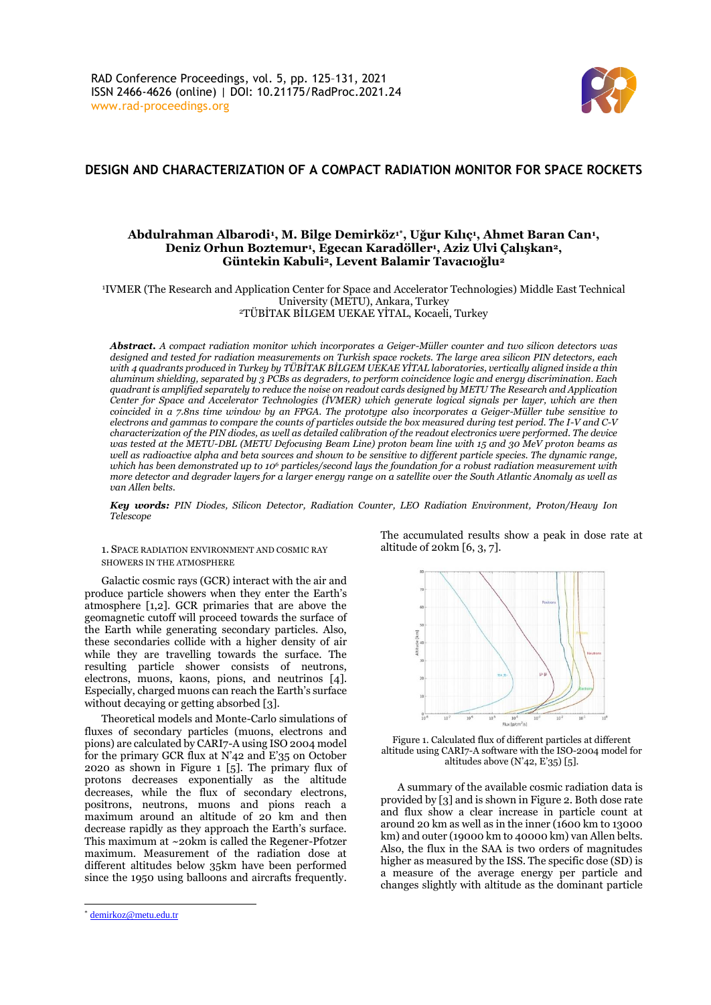

# **DESIGN AND CHARACTERIZATION OF A COMPACT RADIATION MONITOR FOR SPACE ROCKETS**

# Abdulrahman Albarodi<sup>ı</sup>, M. Bilge Demirköz<sup>ı</sup>\*, Uğur Kılıç<sup>ı</sup>, Ahmet Baran Can<sup>ı</sup>, **Deniz Orhun Boztemur<sup>1</sup> , Egecan Karadöller<sup>1</sup> , Aziz Ulvi Çalışkan2, Güntekin Kabuli2, Levent Balamir Tavacıoğlu<sup>2</sup>**

<sup>1</sup>IVMER (The Research and Application Center for Space and Accelerator Technologies) Middle East Technical University (METU), Ankara, Turkey <sup>2</sup>TÜBİTAK BİLGEM UEKAE YİTAL, Kocaeli, Turkey

*Abstract. A compact radiation monitor which incorporates a Geiger-Müller counter and two silicon detectors was designed and tested for radiation measurements on Turkish space rockets. The large area silicon PIN detectors, each with 4 quadrants produced in Turkey by TÜBİTAK BİLGEM UEKAE YİTAL laboratories, vertically aligned inside a thin aluminum shielding, separated by 3 PCBs as degraders, to perform coincidence logic and energy discrimination. Each quadrant is amplified separately to reduce the noise on readout cards designed by METU The Research and Application Center for Space and Accelerator Technologies (İVMER) which generate logical signals per layer, which are then coincided in a 7.8ns time window by an FPGA. The prototype also incorporates a Geiger-Müller tube sensitive to electrons and gammas to compare the counts of particles outside the box measured during test period. The I-V and C-V characterization of the PIN diodes, as well as detailed calibration of the readout electronics were performed. The device was tested at the METU-DBL (METU Defocusing Beam Line) proton beam line with 15 and 30 MeV proton beams as well as radioactive alpha and beta sources and shown to be sensitive to different particle species. The dynamic range, which has been demonstrated up to 10<sup>6</sup> particles/second lays the foundation for a robust radiation measurement with more detector and degrader layers for a larger energy range on a satellite over the South Atlantic Anomaly as well as van Allen belts.*

*Key words: PIN Diodes, Silicon Detector, Radiation Counter, LEO Radiation Environment, Proton/Heavy Ion Telescope*

1. SPACE RADIATION ENVIRONMENT AND COSMIC RAY SHOWERS IN THE ATMOSPHERE

Galactic cosmic rays (GCR) interact with the air and produce particle showers when they enter the Earth's atmosphere [1,2]. GCR primaries that are above the geomagnetic cutoff will proceed towards the surface of the Earth while generating secondary particles. Also, these secondaries collide with a higher density of air while they are travelling towards the surface. The resulting particle shower consists of neutrons, electrons, muons, kaons, pions, and neutrinos [4]. Especially, charged muons can reach the Earth's surface without decaying or getting absorbed [3].

Theoretical models and Monte-Carlo simulations of fluxes of secondary particles (muons, electrons and pions) are calculated by CARI7-A using ISO 2004 model for the primary GCR flux at N'42 and E'35 on October 2020 as shown in Figure 1 [5]. The primary flux of protons decreases exponentially as the altitude decreases, while the flux of secondary electrons, positrons, neutrons, muons and pions reach a maximum around an altitude of 20 km and then decrease rapidly as they approach the Earth's surface. This maximum at ~20km is called the Regener-Pfotzer maximum. Measurement of the radiation dose at different altitudes below 35km have been performed since the 1950 using balloons and aircrafts frequently.

The accumulated results show a peak in dose rate at altitude of 20km [6, 3, 7].



Figure 1. Calculated flux of different particles at different altitude using CARI7-A software with the ISO-2004 model for altitudes above (N'42, E'35) [5].

A summary of the available cosmic radiation data is provided by [3] and is shown in Figure 2. Both dose rate and flux show a clear increase in particle count at around 20 km as well as in the inner (1600 km to 13000 km) and outer (19000 km to 40000 km) van Allen belts. Also, the flux in the SAA is two orders of magnitudes higher as measured by the ISS. The specific dose (SD) is a measure of the average energy per particle and changes slightly with altitude as the dominant particle

<sup>\*</sup> [demirkoz@metu.edu.tr](mailto:demirkoz@metu.edu.tr)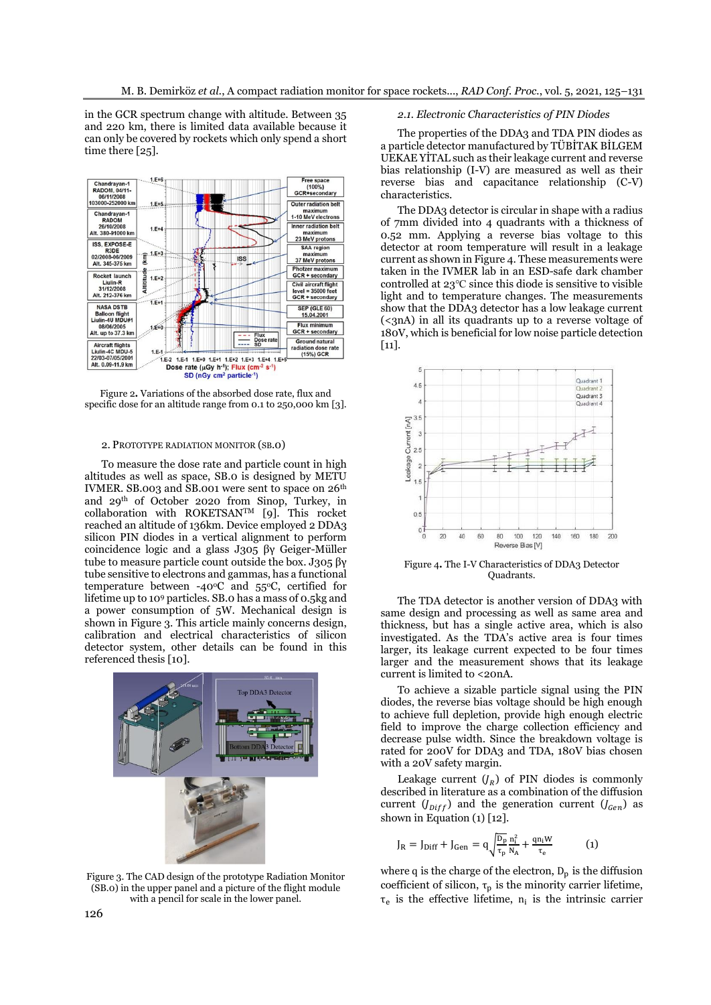in the GCR spectrum change with altitude. Between 35 and 220 km, there is limited data available because it can only be covered by rockets which only spend a short time there [25].



Figure 2**.** Variations of the absorbed dose rate, flux and specific dose for an altitude range from 0.1 to 250,000 km [3].

### 2. PROTOTYPE RADIATION MONITOR (SB.0)

To measure the dose rate and particle count in high altitudes as well as space, SB.0 is designed by METU IVMER. SB.003 and SB.001 were sent to space on  $26<sup>th</sup>$ and 29th of October 2020 from Sinop, Turkey, in collaboration with ROKETSANTM [9]. This rocket reached an altitude of 136km. Device employed 2 DDA3 silicon PIN diodes in a vertical alignment to perform coincidence logic and a glass J305 βγ Geiger-Müller tube to measure particle count outside the box. J305 βγ tube sensitive to electrons and gammas, has a functional temperature between -40 $\degree$ C and 55 $\degree$ C, certified for lifetime up to 10<sup>9</sup> particles. SB.0 has a mass of 0.5kg and a power consumption of 5W. Mechanical design is shown in Figure 3. This article mainly concerns design, calibration and electrical characteristics of silicon detector system, other details can be found in this referenced thesis [10].



Figure 3. The CAD design of the prototype Radiation Monitor (SB.0) in the upper panel and a picture of the flight module with a pencil for scale in the lower panel.

# *2.1. Electronic Characteristics of PIN Diodes*

The properties of the DDA3 and TDA PIN diodes as a particle detector manufactured by TÜBİTAK BİLGEM UEKAE YİTAL such as their leakage current and reverse bias relationship (I-V) are measured as well as their reverse bias and capacitance relationship (C-V) characteristics.

The DDA3 detector is circular in shape with a radius of 7mm divided into 4 quadrants with a thickness of 0.52 mm. Applying a reverse bias voltage to this detector at room temperature will result in a leakage current as shown in Figure 4. These measurements were taken in the IVMER lab in an ESD-safe dark chamber controlled at 23℃ since this diode is sensitive to visible light and to temperature changes. The measurements show that the DDA3 detector has a low leakage current (<3nA) in all its quadrants up to a reverse voltage of 180V, which is beneficial for low noise particle detection [11].



Figure 4**.** The I-V Characteristics of DDA3 Detector Quadrants.

The TDA detector is another version of DDA3 with same design and processing as well as same area and thickness, but has a single active area, which is also investigated. As the TDA's active area is four times larger, its leakage current expected to be four times larger and the measurement shows that its leakage current is limited to <20nA.

To achieve a sizable particle signal using the PIN diodes, the reverse bias voltage should be high enough to achieve full depletion, provide high enough electric field to improve the charge collection efficiency and decrease pulse width. Since the breakdown voltage is rated for 200V for DDA3 and TDA, 180V bias chosen with a 20V safety margin.

Leakage current  $(J_R)$  of PIN diodes is commonly described in literature as a combination of the diffusion current  $(J_{Diff})$  and the generation current  $(J_{Gen})$  as shown in Equation  $(1)$  [12].

$$
J_{R} = J_{\text{Diff}} + J_{\text{Gen}} = q \sqrt{\frac{D_{p}}{\tau_{p}} \frac{n_{i}^{2}}{N_{A}} + \frac{qn_{i}W}{\tau_{e}}}
$$
(1)

where q is the charge of the electron,  $D_p$  is the diffusion coefficient of silicon,  $\tau_p$  is the minority carrier lifetime,  $\tau_e$  is the effective lifetime,  $n_i$  is the intrinsic carrier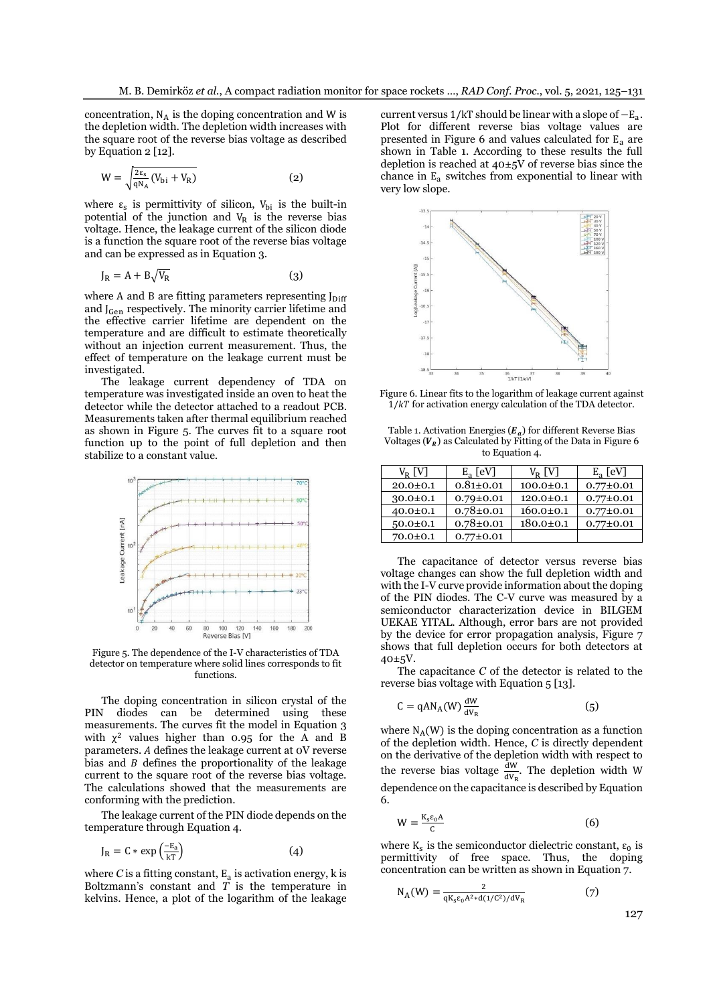concentration,  $N_A$  is the doping concentration and W is the depletion width. The depletion width increases with the square root of the reverse bias voltage as described by Equation 2 [12].

$$
W = \sqrt{\frac{2\epsilon_{\rm s}}{qN_{\rm A}}(V_{\rm bi} + V_{\rm R})}
$$
 (2)

where  $\varepsilon_{s}$  is permittivity of silicon,  $V_{bi}$  is the built-in potential of the junction and  $V_R$  is the reverse bias voltage. Hence, the leakage current of the silicon diode is a function the square root of the reverse bias voltage and can be expressed as in Equation 3.

$$
J_R = A + B \sqrt{V_R} \tag{3}
$$

where A and B are fitting parameters representing  $J_{\text{Diff}}$ and J<sub>Gen</sub> respectively. The minority carrier lifetime and the effective carrier lifetime are dependent on the temperature and are difficult to estimate theoretically without an injection current measurement. Thus, the effect of temperature on the leakage current must be investigated.

The leakage current dependency of TDA on temperature was investigated inside an oven to heat the detector while the detector attached to a readout PCB. Measurements taken after thermal equilibrium reached as shown in Figure 5. The curves fit to a square root function up to the point of full depletion and then stabilize to a constant value.



Figure 5. The dependence of the I-V characteristics of TDA detector on temperature where solid lines corresponds to fit functions.

The doping concentration in silicon crystal of the PIN diodes can be determined using these measurements. The curves fit the model in Equation 3 with  $\chi^2$  values higher than 0.95 for the A and B parameters. defines the leakage current at 0V reverse bias and  $B$  defines the proportionality of the leakage current to the square root of the reverse bias voltage. The calculations showed that the measurements are conforming with the prediction.

The leakage current of the PIN diode depends on the temperature through Equation 4.

$$
J_R = C * \exp\left(\frac{-E_a}{kT}\right) \tag{4}
$$

where  $C$  is a fitting constant,  $\boldsymbol{\mathrm{E}}_\text{a}$  is activation energy,  $\boldsymbol{\mathrm{k}}$  is Boltzmann's constant and *T* is the temperature in kelvins. Hence, a plot of the logarithm of the leakage

current versus 1/kT should be linear with a slope of  $-E_a$ . Plot for different reverse bias voltage values are presented in Figure 6 and values calculated for  $E_a$  are shown in Table 1. According to these results the full depletion is reached at  $40\pm5\overline{V}$  of reverse bias since the chance in  $E_a$  switches from exponential to linear with very low slope.



Figure 6. Linear fits to the logarithm of leakage current against  $1/kT$  for activation energy calculation of the TDA detector.

Table 1. Activation Energies  $(\pmb{E}_{a})$  for different Reverse Bias Voltages  $(V_R)$  as Calculated by Fitting of the Data in Figure 6 to Equation 4.

| $V_R$ [V]      | $E_a$ [eV]      | $V_{R}$ [V]     | $E_a$ [eV]      |
|----------------|-----------------|-----------------|-----------------|
| $20.0 \pm 0.1$ | $0.81 \pm 0.01$ | $100.0 \pm 0.1$ | $0.77 \pm 0.01$ |
| $30.0 \pm 0.1$ | $0.79 \pm 0.01$ | $120.0 \pm 0.1$ | $0.77 \pm 0.01$ |
| $40.0 \pm 0.1$ | $0.78 \pm 0.01$ | $160.0 \pm 0.1$ | $0.77 \pm 0.01$ |
| $50.0 \pm 0.1$ | $0.78 \pm 0.01$ | $180.0 \pm 0.1$ | $0.77 \pm 0.01$ |
| $70.0 \pm 0.1$ | $0.77 \pm 0.01$ |                 |                 |

The capacitance of detector versus reverse bias voltage changes can show the full depletion width and with the I-V curve provide information about the doping of the PIN diodes. The C-V curve was measured by a semiconductor characterization device in BILGEM UEKAE YITAL. Although, error bars are not provided by the device for error propagation analysis, Figure 7 shows that full depletion occurs for both detectors at 40±5V.

The capacitance *C* of the detector is related to the reverse bias voltage with Equation 5 [13].

$$
C = qAN_A(W)\frac{dW}{dV_R}
$$
 (5)

where  $N_A(W)$  is the doping concentration as a function of the depletion width. Hence, *C* is directly dependent on the derivative of the depletion width with respect to the reverse bias voltage  $\frac{dW}{dV_R}$ . The depletion width W dependence on the capacitance is described by Equation 6.

$$
W = \frac{K_s \varepsilon_0 A}{c} \tag{6}
$$

where  $K_s$  is the semiconductor dielectric constant,  $\varepsilon_0$  is permittivity of free space. Thus, the doping concentration can be written as shown in Equation 7.

$$
N_A(W) = \frac{2}{qK_s\epsilon_0 A^2 * d(1/C^2)/dV_R}
$$
 (7)

127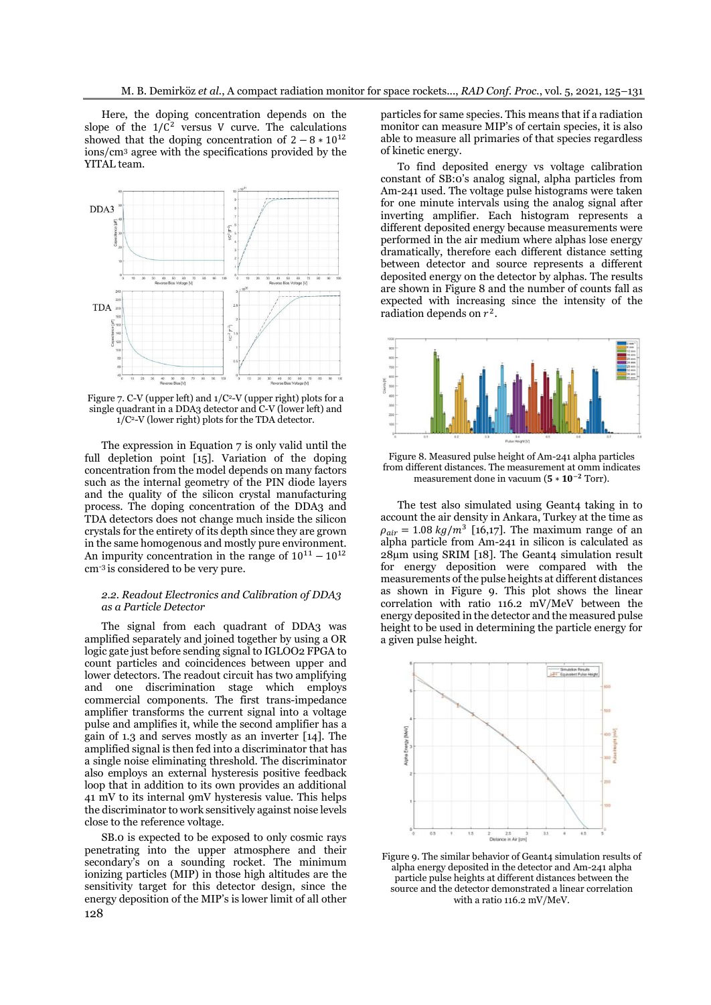Here, the doping concentration depends on the slope of the  $1/C^2$  versus V curve. The calculations showed that the doping concentration of  $2 - 8 * 10^{12}$ ions/cm<sup>3</sup> agree with the specifications provided by the YITAL team.



Figure 7. C-V (upper left) and  $1/C^2$ -V (upper right) plots for a single quadrant in a DDA3 detector and C-V (lower left) and  $1/C^2$ -V (lower right) plots for the TDA detector.

The expression in Equation 7 is only valid until the full depletion point [15]. Variation of the doping concentration from the model depends on many factors such as the internal geometry of the PIN diode layers and the quality of the silicon crystal manufacturing process. The doping concentration of the DDA3 and TDA detectors does not change much inside the silicon crystals for the entirety of its depth since they are grown in the same homogenous and mostly pure environment. An impurity concentration in the range of  $10^{11} - 10^{12}$ cm-3 is considered to be very pure.

## *2.2. Readout Electronics and Calibration of DDA3 as a Particle Detector*

The signal from each quadrant of DDA3 was amplified separately and joined together by using a OR logic gate just before sending signal to IGLOO2 FPGA to count particles and coincidences between upper and lower detectors. The readout circuit has two amplifying and one discrimination stage which employs commercial components. The first trans-impedance amplifier transforms the current signal into a voltage pulse and amplifies it, while the second amplifier has a gain of 1.3 and serves mostly as an inverter [14]. The amplified signal is then fed into a discriminator that has a single noise eliminating threshold. The discriminator also employs an external hysteresis positive feedback loop that in addition to its own provides an additional 41 mV to its internal 9mV hysteresis value. This helps the discriminator to work sensitively against noise levels close to the reference voltage.

128 SB.0 is expected to be exposed to only cosmic rays penetrating into the upper atmosphere and their secondary's on a sounding rocket. The minimum ionizing particles (MIP) in those high altitudes are the sensitivity target for this detector design, since the energy deposition of the MIP's is lower limit of all other

particles for same species. This means that if a radiation monitor can measure MIP's of certain species, it is also able to measure all primaries of that species regardless of kinetic energy.

To find deposited energy vs voltage calibration constant of SB:0's analog signal, alpha particles from Am-241 used. The voltage pulse histograms were taken for one minute intervals using the analog signal after inverting amplifier. Each histogram represents a different deposited energy because measurements were performed in the air medium where alphas lose energy dramatically, therefore each different distance setting between detector and source represents a different deposited energy on the detector by alphas. The results are shown in Figure 8 and the number of counts fall as expected with increasing since the intensity of the radiation depends on  $r^2$ .



Figure 8. Measured pulse height of Am-241 alpha particles from different distances. The measurement at 0mm indicates measurement done in vacuum ( $5 * 10^{-2}$  Torr).

The test also simulated using Geant4 taking in to account the air density in Ankara, Turkey at the time as  $\rho_{air} = 1.08 \ kg/m^3$  [16,17]. The maximum range of an alpha particle from Am-241 in silicon is calculated as  $28\mu$ m using SRIM [18]. The Geant4 simulation result for energy deposition were compared with the measurements of the pulse heights at different distances as shown in Figure 9. This plot shows the linear correlation with ratio 116.2 mV/MeV between the energy deposited in the detector and the measured pulse height to be used in determining the particle energy for a given pulse height.



Figure 9. The similar behavior of Geant4 simulation results of alpha energy deposited in the detector and Am-241 alpha particle pulse heights at different distances between the source and the detector demonstrated a linear correlation with a ratio 116.2 mV/MeV.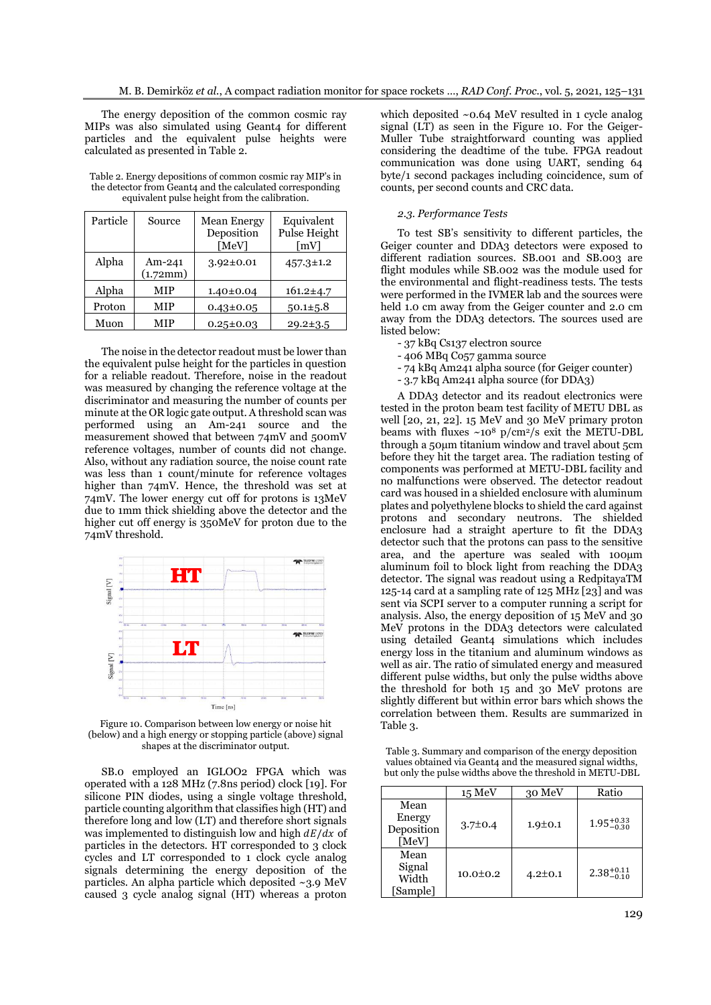The energy deposition of the common cosmic ray MIPs was also simulated using Geant4 for different particles and the equivalent pulse heights were calculated as presented in Table 2.

| Table 2. Energy depositions of common cosmic ray MIP's in             |
|-----------------------------------------------------------------------|
| the detector from Geant <sub>4</sub> and the calculated corresponding |
| equivalent pulse height from the calibration.                         |

| Particle | Source             | <b>Mean Energy</b><br>Deposition<br>[MeV] | Equivalent<br>Pulse Height<br>[mV] |
|----------|--------------------|-------------------------------------------|------------------------------------|
| Alpha    | Am-241<br>(1.72mm) | $3.92 \pm 0.01$                           | $457.3 \pm 1.2$                    |
| Alpha    | MIP                | $1.40 \pm 0.04$                           | $161.2 \pm 4.7$                    |
| Proton   | MIP                | $0.43 \pm 0.05$                           | $50.1 \pm 5.8$                     |
| Muon     | MIP                | $0.25 \pm 0.03$                           | $29.2 \pm 3.5$                     |

The noise in the detector readout must be lower than the equivalent pulse height for the particles in question for a reliable readout. Therefore, noise in the readout was measured by changing the reference voltage at the discriminator and measuring the number of counts per minute at the OR logic gate output. A threshold scan was performed using an Am-241 source and the measurement showed that between 74mV and 500mV reference voltages, number of counts did not change. Also, without any radiation source, the noise count rate was less than 1 count/minute for reference voltages higher than 74mV. Hence, the threshold was set at 74mV. The lower energy cut off for protons is 13MeV due to 1mm thick shielding above the detector and the higher cut off energy is 350MeV for proton due to the 74mV threshold.



Figure 10. Comparison between low energy or noise hit (below) and a high energy or stopping particle (above) signal shapes at the discriminator output.

SB.0 employed an IGLOO2 FPGA which was operated with a 128 MHz (7.8ns period) clock [19]. For silicone PIN diodes, using a single voltage threshold, particle counting algorithm that classifies high (HT) and therefore long and low (LT) and therefore short signals was implemented to distinguish low and high  $dE/dx$  of particles in the detectors. HT corresponded to 3 clock cycles and LT corresponded to 1 clock cycle analog signals determining the energy deposition of the particles. An alpha particle which deposited ~3.9 MeV caused 3 cycle analog signal (HT) whereas a proton

which deposited ~0.64 MeV resulted in 1 cycle analog signal (LT) as seen in the Figure 10. For the Geiger-Muller Tube straightforward counting was applied considering the deadtime of the tube. FPGA readout communication was done using UART, sending 64 byte/1 second packages including coincidence, sum of counts, per second counts and CRC data.

## *2.3. Performance Tests*

To test SB's sensitivity to different particles, the Geiger counter and DDA3 detectors were exposed to different radiation sources. SB.001 and SB.003 are flight modules while SB.002 was the module used for the environmental and flight-readiness tests. The tests were performed in the IVMER lab and the sources were held 1.0 cm away from the Geiger counter and 2.0 cm away from the DDA3 detectors. The sources used are listed below:

- 37 kBq Cs137 electron source

- 406 MBq Co57 gamma source
- 74 kBq Am241 alpha source (for Geiger counter)
- 3.7 kBq Am241 alpha source (for DDA3)

A DDA3 detector and its readout electronics were tested in the proton beam test facility of METU DBL as well [20, 21, 22]. 15 MeV and 30 MeV primary proton beams with fluxes  $\sim 10^8$  p/cm<sup>2</sup>/s exit the METU-DBL through a 50μm titanium window and travel about 5cm before they hit the target area. The radiation testing of components was performed at METU-DBL facility and no malfunctions were observed. The detector readout card was housed in a shielded enclosure with aluminum plates and polyethylene blocks to shield the card against protons and secondary neutrons. The shielded enclosure had a straight aperture to fit the DDA3 detector such that the protons can pass to the sensitive area, and the aperture was sealed with 100μm aluminum foil to block light from reaching the DDA3 detector. The signal was readout using a RedpitayaTM 125-14 card at a sampling rate of 125 MHz [23] and was sent via SCPI server to a computer running a script for analysis. Also, the energy deposition of 15 MeV and 30 MeV protons in the DDA3 detectors were calculated using detailed Geant4 simulations which includes energy loss in the titanium and aluminum windows as well as air. The ratio of simulated energy and measured different pulse widths, but only the pulse widths above the threshold for both 15 and 30 MeV protons are slightly different but within error bars which shows the correlation between them. Results are summarized in Table 3.

Table 3. Summary and comparison of the energy deposition values obtained via Geant4 and the measured signal widths, but only the pulse widths above the threshold in METU-DBL

|                                       | $15 \text{ MeV}$ | 30 MeV        | Ratio                  |
|---------------------------------------|------------------|---------------|------------------------|
| Mean<br>Energy<br>Deposition<br>[MeV] | $3.7 \pm 0.4$    | $1.9 \pm 0.1$ | $1.95^{+0.33}_{-0.30}$ |
| Mean<br>Signal<br>Width<br>[Sample]   | $10.0 \pm 0.2$   | $4.2 \pm 0.1$ | $2.38^{+0.11}_{-0.10}$ |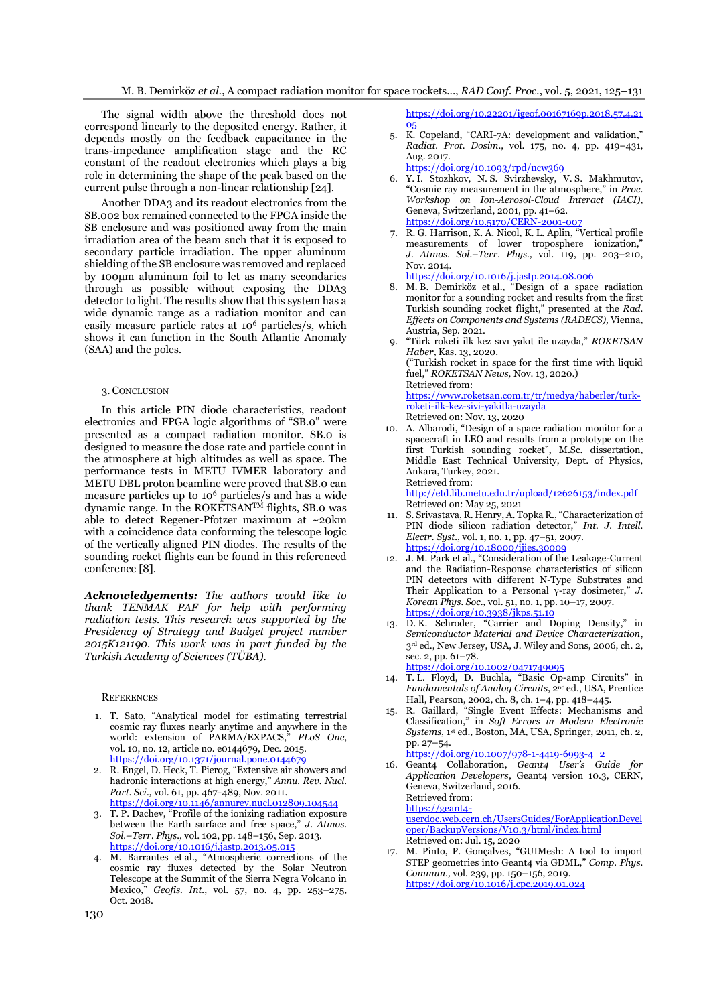The signal width above the threshold does not correspond linearly to the deposited energy. Rather, it depends mostly on the feedback capacitance in the trans-impedance amplification stage and the RC constant of the readout electronics which plays a big role in determining the shape of the peak based on the current pulse through a non-linear relationship [24].

Another DDA3 and its readout electronics from the SB.002 box remained connected to the FPGA inside the SB enclosure and was positioned away from the main irradiation area of the beam such that it is exposed to secondary particle irradiation. The upper aluminum shielding of the SB enclosure was removed and replaced by 100μm aluminum foil to let as many secondaries through as possible without exposing the DDA3 detector to light. The results show that this system has a wide dynamic range as a radiation monitor and can easily measure particle rates at 10<sup>6</sup> particles/s, which shows it can function in the South Atlantic Anomaly (SAA) and the poles.

#### 3. CONCLUSION

In this article PIN diode characteristics, readout electronics and FPGA logic algorithms of "SB.0" were presented as a compact radiation monitor. SB.0 is designed to measure the dose rate and particle count in the atmosphere at high altitudes as well as space. The performance tests in METU IVMER laboratory and METU DBL proton beamline were proved that SB.0 can measure particles up to 10<sup>6</sup> particles/s and has a wide dynamic range. In the ROKETSAN<sup>TM</sup> flights, SB.0 was able to detect Regener-Pfotzer maximum at ~20km with a coincidence data conforming the telescope logic of the vertically aligned PIN diodes. The results of the sounding rocket flights can be found in this referenced conference [8].

*Acknowledgements: The authors would like to thank TENMAK PAF for help with performing radiation tests. This research was supported by the Presidency of Strategy and Budget project number 2015K121190. This work was in part funded by the Turkish Academy of Sciences (TÜBA).*

#### **REFERENCES**

- 1. T. Sato, "Analytical model for estimating terrestrial cosmic ray fluxes nearly anytime and anywhere in the world: extension of PARMA/EXPACS," *PLoS One*, vol. 10, no. 12, article no. e0144679, Dec. 2015. <https://doi.org/10.1371/journal.pone.0144679>
- 2. R. Engel, D. Heck, T. Pierog, "Extensive air showers and hadronic interactions at high energy," *Annu. Rev. Nucl. Part. Sci.,* vol. 61, pp. 467–489, Nov. 2011. <https://doi.org/10.1146/annurev.nucl.012809.104544>
- 3. T. P. Dachev, "Profile of the ionizing radiation exposure between the Earth surface and free space," *J. Atmos. Sol.–Terr. Phys.,* vol. 102, pp. 148–156, Sep. 2013. <https://doi.org/10.1016/j.jastp.2013.05.015>
- 4. M. Barrantes et al., "Atmospheric corrections of the cosmic ray fluxes detected by the Solar Neutron Telescope at the Summit of the Sierra Negra Volcano in Mexico," *Geofis. Int.*, vol. 57, no. 4, pp. 253–275, Oct. 2018.

[https://doi.org/10.22201/igeof.00167169p.2018.57.4.21](https://doi.org/10.22201/igeof.00167169p.2018.57.4.2105) [05](https://doi.org/10.22201/igeof.00167169p.2018.57.4.2105)

- 5. K. Copeland, "CARI-7A: development and validation," *Radiat. Prot. Dosim.*, vol. 175, no. 4, pp. 419–431, Aug. 2017.
- <https://doi.org/10.1093/rpd/ncw369>
- 6. Y. I. Stozhkov, N. S. Svirzhevsky, V. S. Makhmutov, "Cosmic ray measurement in the atmosphere," in *Proc. Workshop on Ion-Aerosol-Cloud Interact (IACI)*, Geneva, Switzerland, 2001, pp. 41–62. <https://doi.org/10.5170/CERN-2001-007>
- 7. R. G. Harrison, K. A. Nicol, K. L. Aplin, "Vertical profile measurements of lower troposphere ionization,' *J. Atmos. Sol.–Terr. Phys.,* vol. 119, pp. 203–210, Nov. 2014. <https://doi.org/10.1016/j.jastp.2014.08.006>
- 8. M. B. Demirköz et al., "Design of a space radiation monitor for a sounding rocket and results from the first Turkish sounding rocket flight," presented at the *Rad. Effects on Components and Systems (RADECS),* Vienna, Austria, Sep. 2021.
- 9. "Türk roketi ilk kez sıvı yakıt ile uzayda," *ROKETSAN Haber*, Kas. 13, 2020. ("Turkish rocket in space for the first time with liquid fuel," *ROKETSAN News,* Nov. 13, 2020.) Retrieved from: [https://www.roketsan.com.tr/tr/medya/haberler/turk](https://www.roketsan.com.tr/tr/medya/haberler/turk-roketi-ilk-kez-sivi-yakitla-uzayda)[roketi-ilk-kez-sivi-yakitla-uzayda](https://www.roketsan.com.tr/tr/medya/haberler/turk-roketi-ilk-kez-sivi-yakitla-uzayda) Retrieved on: Nov. 13, 2020 10. A. Albarodi, "Design of a space radiation monitor for a
- spacecraft in LEO and results from a prototype on the first Turkish sounding rocket", M.Sc. dissertation, Middle East Technical University, Dept. of Physics, Ankara, Turkey, 2021. Retrieved from:

<http://etd.lib.metu.edu.tr/upload/12626153/index.pdf> Retrieved on: May 25, 2021

- 11. S. Srivastava, R. Henry, A. Topka R., "Characterization of PIN diode silicon radiation detector," *Int. J. Intell. Electr. Syst.*, vol. 1, no. 1, pp. 47–51, 2007. <https://doi.org/10.18000/ijies.30009>
- 12. J. M. Park et al., "Consideration of the Leakage-Current and the Radiation-Response characteristics of silicon PIN detectors with different N-Type Substrates and Their Application to a Personal γ-ray dosimeter," *J. Korean Phys. Soc.,* vol. 51, no. 1, pp. 10–17, 2007. <https://doi.org/10.3938/jkps.51.10>
- 13. D. K. Schroder, "Carrier and Doping Density," in *Semiconductor Material and Device Characterization*, 3rd ed., New Jersey, USA, J. Wiley and Sons, 2006, ch. 2, sec. 2, pp. 61–78. <https://doi.org/10.1002/0471749095>
- 14. T. L. Floyd, D. Buchla, "Basic Op-amp Circuits" in *Fundamentals of Analog Circuits*, 2nd ed., USA, Prentice Hall, Pearson, 2002, ch. 8, ch. 1–4, pp. 418–445.
- 15. R. Gaillard, "Single Event Effects: Mechanisms and Classification," in *Soft Errors in Modern Electronic Systems*, 1 st ed., Boston, MA, USA, Springer, 2011, ch. 2, pp. 27–54.
	- [https://doi.org/10.1007/978-1-4419-6993-4\\_2](https://doi.org/10.1007/978-1-4419-6993-4_2)
- 16. Geant4 Collaboration, *Geant4 User's Guide for Application Developers*, Geant4 version 10.3, CERN, Geneva, Switzerland, 2016. Retrieved from: [https://geant4-](https://geant4-userdoc.web.cern.ch/UsersGuides/ForApplicationDeveloper/BackupVersions/V10.3/html/index.html)

[userdoc.web.cern.ch/UsersGuides/ForApplicationDevel](https://geant4-userdoc.web.cern.ch/UsersGuides/ForApplicationDeveloper/BackupVersions/V10.3/html/index.html) [oper/BackupVersions/V10.3/html/index.html](https://geant4-userdoc.web.cern.ch/UsersGuides/ForApplicationDeveloper/BackupVersions/V10.3/html/index.html) Retrieved on: Jul. 15, 2020

17. M. Pinto, P. Gonçalves, "GUIMesh: A tool to import STEP geometries into Geant4 via GDML," *Comp. Phys. Commun.,* vol. 239, pp. 150–156, 2019. <https://doi.org/10.1016/j.cpc.2019.01.024>